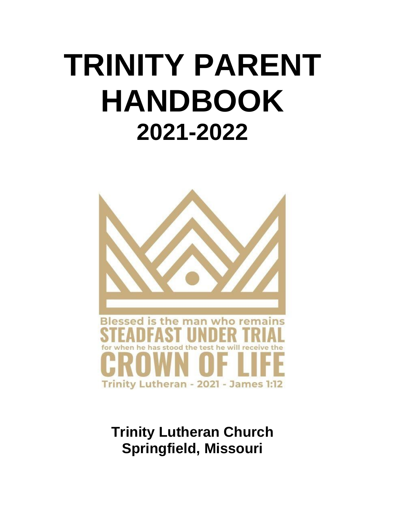# **TRINITY PARENT HANDBOOK 2021-2022**



**Trinity Lutheran Church Springfield, Missouri**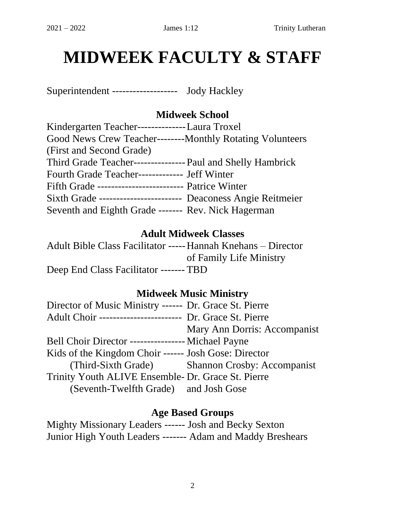### **MIDWEEK FACULTY & STAFF**

Superintendent ------------------- Jody Hackley

#### **Midweek School**

| Kindergarten Teacher---------------Laura Troxel                |
|----------------------------------------------------------------|
| Good News Crew Teacher---------Monthly Rotating Volunteers     |
| (First and Second Grade)                                       |
| Third Grade Teacher---------------- Paul and Shelly Hambrick   |
| Fourth Grade Teacher------------- Jeff Winter                  |
| Fifth Grade --------------------------- Patrice Winter         |
| Sixth Grade ------------------------ Deaconess Angie Reitmeier |
| Seventh and Eighth Grade ------- Rev. Nick Hagerman            |

#### **Adult Midweek Classes**

Adult Bible Class Facilitator -----Hannah Knehans – Director of Family Life Ministry Deep End Class Facilitator ------- TBD

#### **Midweek Music Ministry**

| Director of Music Ministry ------ Dr. Grace St. Pierre    |
|-----------------------------------------------------------|
| Adult Choir ------------------------ Dr. Grace St. Pierre |
| Mary Ann Dorris: Accompanist                              |
| Bell Choir Director ----------------- Michael Payne       |
| Kids of the Kingdom Choir ------ Josh Gose: Director      |
| (Third-Sixth Grade) Shannon Crosby: Accompanist           |
| Trinity Youth ALIVE Ensemble- Dr. Grace St. Pierre        |
| (Seventh-Twelfth Grade) and Josh Gose                     |
|                                                           |

#### **Age Based Groups**

Mighty Missionary Leaders ------ Josh and Becky Sexton Junior High Youth Leaders ------- Adam and Maddy Breshears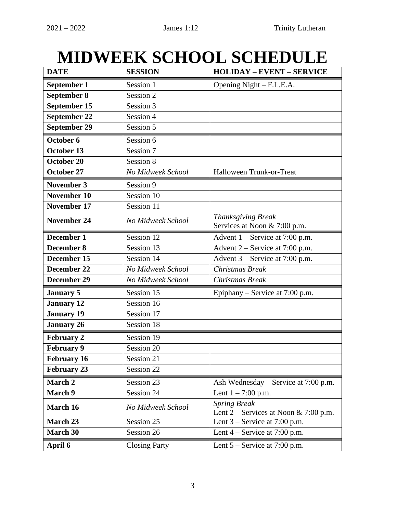### **MIDWEEK SCHOOL SCHEDULE**

| <b>DATE</b>        | <b>SESSION</b>       | <b>HOLIDAY - EVENT - SERVICE</b>                               |
|--------------------|----------------------|----------------------------------------------------------------|
| September 1        | Session 1            | Opening Night – F.L.E.A.                                       |
| September 8        | Session 2            |                                                                |
| September 15       | Session 3            |                                                                |
| September 22       | Session 4            |                                                                |
| September 29       | Session 5            |                                                                |
| October 6          | Session 6            |                                                                |
| October 13         | Session 7            |                                                                |
| October 20         | Session 8            |                                                                |
| <b>October 27</b>  | No Midweek School    | Halloween Trunk-or-Treat                                       |
| <b>November 3</b>  | Session 9            |                                                                |
| <b>November 10</b> | Session 10           |                                                                |
| <b>November 17</b> | Session 11           |                                                                |
| <b>November 24</b> | No Midweek School    | Thanksgiving Break<br>Services at Noon & 7:00 p.m.             |
| December 1         | Session 12           | Advent $1$ – Service at 7:00 p.m.                              |
| December 8         | Session 13           | Advent 2 – Service at 7:00 p.m.                                |
| December 15        | Session 14           | Advent $3$ – Service at 7:00 p.m.                              |
| December 22        | No Midweek School    | Christmas Break                                                |
| December 29        | No Midweek School    | Christmas Break                                                |
| <b>January 5</b>   | Session 15           | Epiphany – Service at $7:00$ p.m.                              |
| <b>January 12</b>  | Session 16           |                                                                |
| <b>January 19</b>  | Session 17           |                                                                |
| <b>January 26</b>  | Session 18           |                                                                |
| <b>February 2</b>  | Session 19           |                                                                |
| <b>February 9</b>  | Session 20           |                                                                |
| February 16        | Session 21           |                                                                |
| <b>February 23</b> | Session 22           |                                                                |
| March 2            | Session 23           | Ash Wednesday – Service at 7:00 p.m.                           |
| <b>March 9</b>     | Session 24           | Lent $1 - 7:00$ p.m.                                           |
| March 16           | No Midweek School    | <b>Spring Break</b><br>Lent $2$ – Services at Noon & 7:00 p.m. |
| March 23           | Session 25           | Lent $3$ – Service at 7:00 p.m.                                |
| <b>March 30</b>    | Session 26           | Lent $4$ – Service at 7:00 p.m.                                |
| April 6            | <b>Closing Party</b> | Lent $5$ – Service at 7:00 p.m.                                |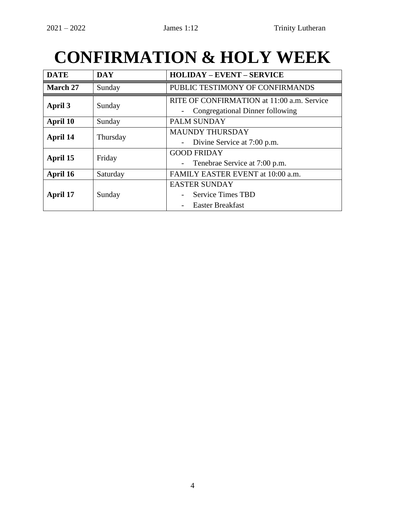### **CONFIRMATION & HOLY WEEK**

| <b>DATE</b> | <b>DAY</b> | <b>HOLIDAY – EVENT – SERVICE</b>                                                |
|-------------|------------|---------------------------------------------------------------------------------|
| March 27    | Sunday     | PUBLIC TESTIMONY OF CONFIRMANDS                                                 |
| April 3     | Sunday     | RITE OF CONFIRMATION at 11:00 a.m. Service<br>Congregational Dinner following   |
| April 10    | Sunday     | <b>PALM SUNDAY</b>                                                              |
| April 14    | Thursday   | <b>MAUNDY THURSDAY</b><br>Divine Service at 7:00 p.m.                           |
| April 15    | Friday     | <b>GOOD FRIDAY</b><br>Tenebrae Service at 7:00 p.m.<br>$\overline{\phantom{a}}$ |
| April 16    | Saturday   | FAMILY EASTER EVENT at 10:00 a.m.                                               |
| April 17    | Sunday     | <b>EASTER SUNDAY</b><br><b>Service Times TBD</b><br><b>Easter Breakfast</b>     |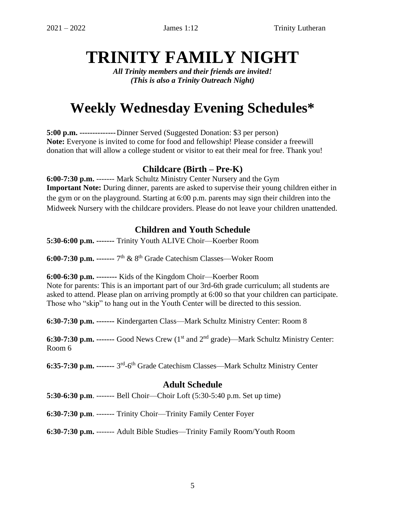### **TRINITY FAMILY NIGHT**

*All Trinity members and their friends are invited! (This is also a Trinity Outreach Night)*

### **Weekly Wednesday Evening Schedules\***

**5:00 p.m. --------------**Dinner Served (Suggested Donation: \$3 per person) **Note:** Everyone is invited to come for food and fellowship! Please consider a freewill donation that will allow a college student or visitor to eat their meal for free. Thank you!

#### **Childcare (Birth – Pre-K)**

**6:00-7:30 p.m.** ------- Mark Schultz Ministry Center Nursery and the Gym **Important Note:** During dinner, parents are asked to supervise their young children either in the gym or on the playground. Starting at 6:00 p.m. parents may sign their children into the Midweek Nursery with the childcare providers. Please do not leave your children unattended.

#### **Children and Youth Schedule**

**5:30-6:00 p.m. -------** Trinity Youth ALIVE Choir—Koerber Room

**6:00-7:30 p.m.** ------- 7<sup>th</sup> & 8<sup>th</sup> Grade Catechism Classes—Woker Room

#### **6:00-6:30 p.m. --------** Kids of the Kingdom Choir—Koerber Room

Note for parents: This is an important part of our 3rd-6th grade curriculum; all students are asked to attend. Please plan on arriving promptly at 6:00 so that your children can participate. Those who "skip" to hang out in the Youth Center will be directed to this session.

**6:30-7:30 p.m. -------** Kindergarten Class—Mark Schultz Ministry Center: Room 8

**6:30-7:30 p.m.** ------- Good News Crew (1<sup>st</sup> and 2<sup>nd</sup> grade)—Mark Schultz Ministry Center: Room 6

6:35-7:30 p.m. ------- 3<sup>rd</sup>-6<sup>th</sup> Grade Catechism Classes—Mark Schultz Ministry Center

#### **Adult Schedule**

**5:30-6:30 p.m**. ------- Bell Choir—Choir Loft (5:30-5:40 p.m. Set up time)

**6:30-7:30 p.m**. ------- Trinity Choir—Trinity Family Center Foyer

**6:30-7:30 p.m.** ------- Adult Bible Studies—Trinity Family Room/Youth Room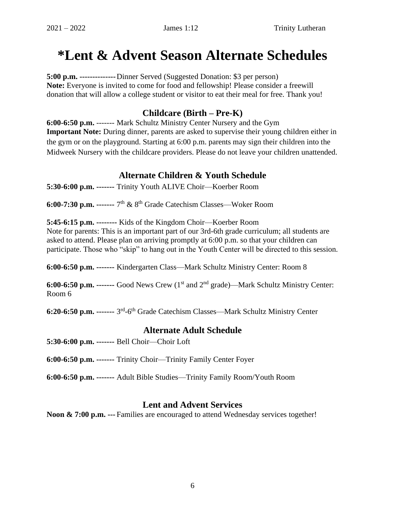### **\*Lent & Advent Season Alternate Schedules**

**5:00 p.m. --------------**Dinner Served (Suggested Donation: \$3 per person) **Note:** Everyone is invited to come for food and fellowship! Please consider a freewill donation that will allow a college student or visitor to eat their meal for free. Thank you!

#### **Childcare (Birth – Pre-K)**

**6:00-6:50 p.m.** ------- Mark Schultz Ministry Center Nursery and the Gym **Important Note:** During dinner, parents are asked to supervise their young children either in the gym or on the playground. Starting at 6:00 p.m. parents may sign their children into the Midweek Nursery with the childcare providers. Please do not leave your children unattended.

#### **Alternate Children & Youth Schedule**

**5:30-6:00 p.m. -------** Trinity Youth ALIVE Choir—Koerber Room

**6:00-7:30 p.m. -------** 7 th & 8th Grade Catechism Classes—Woker Room

**5:45-6:15 p.m. --------** Kids of the Kingdom Choir—Koerber Room

Note for parents: This is an important part of our 3rd-6th grade curriculum; all students are asked to attend. Please plan on arriving promptly at 6:00 p.m. so that your children can participate. Those who "skip" to hang out in the Youth Center will be directed to this session.

**6:00-6:50 p.m. -------** Kindergarten Class—Mark Schultz Ministry Center: Room 8

**6:00-6:50 p.m.** ------- Good News Crew (1<sup>st</sup> and 2<sup>nd</sup> grade)—Mark Schultz Ministry Center: Room 6

6:20-6:50 p.m. ------- 3<sup>rd</sup>-6<sup>th</sup> Grade Catechism Classes—Mark Schultz Ministry Center

#### **Alternate Adult Schedule**

**5:30-6:00 p.m. -------** Bell Choir—Choir Loft

**6:00-6:50 p.m. -------** Trinity Choir—Trinity Family Center Foyer

**6:00-6:50 p.m. -------** Adult Bible Studies—Trinity Family Room/Youth Room

#### **Lent and Advent Services**

**Noon & 7:00 p.m. ---** Families are encouraged to attend Wednesday services together!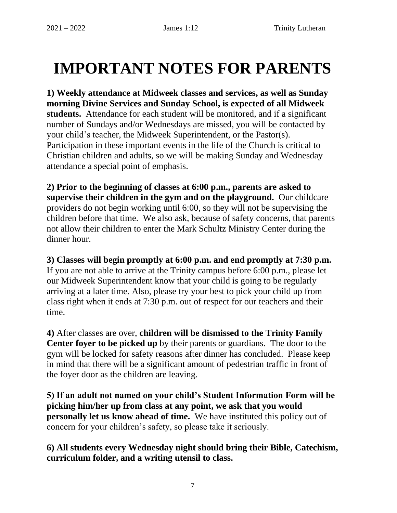### **IMPORTANT NOTES FOR PARENTS**

**1) Weekly attendance at Midweek classes and services, as well as Sunday morning Divine Services and Sunday School, is expected of all Midweek students.** Attendance for each student will be monitored, and if a significant number of Sundays and/or Wednesdays are missed, you will be contacted by your child's teacher, the Midweek Superintendent, or the Pastor(s). Participation in these important events in the life of the Church is critical to Christian children and adults, so we will be making Sunday and Wednesday attendance a special point of emphasis.

**2) Prior to the beginning of classes at 6:00 p.m., parents are asked to supervise their children in the gym and on the playground.** Our childcare providers do not begin working until 6:00, so they will not be supervising the children before that time. We also ask, because of safety concerns, that parents not allow their children to enter the Mark Schultz Ministry Center during the dinner hour.

#### **3) Classes will begin promptly at 6:00 p.m. and end promptly at 7:30 p.m.**

If you are not able to arrive at the Trinity campus before 6:00 p.m., please let our Midweek Superintendent know that your child is going to be regularly arriving at a later time. Also, please try your best to pick your child up from class right when it ends at 7:30 p.m. out of respect for our teachers and their time.

**4)** After classes are over, **children will be dismissed to the Trinity Family Center foyer to be picked up** by their parents or guardians.The door to the gym will be locked for safety reasons after dinner has concluded. Please keep in mind that there will be a significant amount of pedestrian traffic in front of the foyer door as the children are leaving.

**5) If an adult not named on your child's Student Information Form will be picking him/her up from class at any point, we ask that you would personally let us know ahead of time.** We have instituted this policy out of concern for your children's safety, so please take it seriously.

**6) All students every Wednesday night should bring their Bible, Catechism, curriculum folder, and a writing utensil to class.**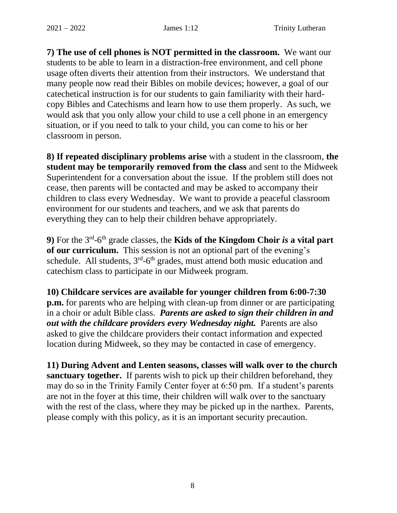**7) The use of cell phones is NOT permitted in the classroom.** We want our students to be able to learn in a distraction-free environment, and cell phone usage often diverts their attention from their instructors. We understand that many people now read their Bibles on mobile devices; however, a goal of our catechetical instruction is for our students to gain familiarity with their hardcopy Bibles and Catechisms and learn how to use them properly. As such, we would ask that you only allow your child to use a cell phone in an emergency situation, or if you need to talk to your child, you can come to his or her classroom in person.

**8) If repeated disciplinary problems arise** with a student in the classroom, **the student may be temporarily removed from the class** and sent to the Midweek Superintendent for a conversation about the issue.If the problem still does not cease, then parents will be contacted and may be asked to accompany their children to class every Wednesday. We want to provide a peaceful classroom environment for our students and teachers, and we ask that parents do everything they can to help their children behave appropriately.

**9**) For the 3<sup>rd</sup>-6<sup>th</sup> grade classes, the **Kids of the Kingdom Choir** *is* **a vital part of our curriculum.** This session is not an optional part of the evening's schedule. All students,  $3<sup>rd</sup>$ -6<sup>th</sup> grades, must attend both music education and catechism class to participate in our Midweek program.

**10) Childcare services are available for younger children from 6:00-7:30 p.m.** for parents who are helping with clean-up from dinner or are participating in a choir or adult Bible class.*Parents are asked to sign their children in and out with the childcare providers every Wednesday night.*Parents are also asked to give the childcare providers their contact information and expected location during Midweek, so they may be contacted in case of emergency.

**11) During Advent and Lenten seasons, classes will walk over to the church sanctuary together.** If parents wish to pick up their children beforehand, they may do so in the Trinity Family Center foyer at 6:50 pm. If a student's parents are not in the foyer at this time, their children will walk over to the sanctuary with the rest of the class, where they may be picked up in the narthex. Parents, please comply with this policy, as it is an important security precaution.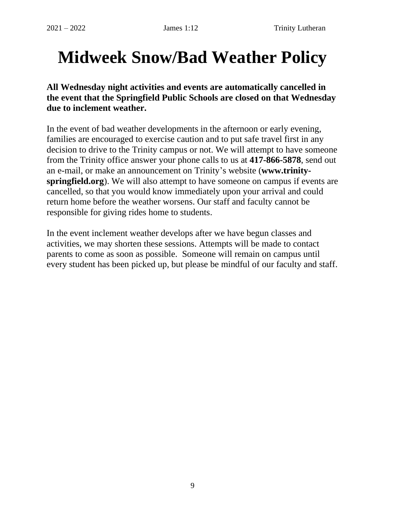## **Midweek Snow/Bad Weather Policy**

**All Wednesday night activities and events are automatically cancelled in the event that the Springfield Public Schools are closed on that Wednesday due to inclement weather.**

In the event of bad weather developments in the afternoon or early evening, families are encouraged to exercise caution and to put safe travel first in any decision to drive to the Trinity campus or not. We will attempt to have someone from the Trinity office answer your phone calls to us at **417-866-5878**, send out an e-mail, or make an announcement on Trinity's website (**www.trinityspringfield.org**). We will also attempt to have someone on campus if events are cancelled, so that you would know immediately upon your arrival and could return home before the weather worsens. Our staff and faculty cannot be responsible for giving rides home to students.

In the event inclement weather develops after we have begun classes and activities, we may shorten these sessions. Attempts will be made to contact parents to come as soon as possible.Someone will remain on campus until every student has been picked up, but please be mindful of our faculty and staff.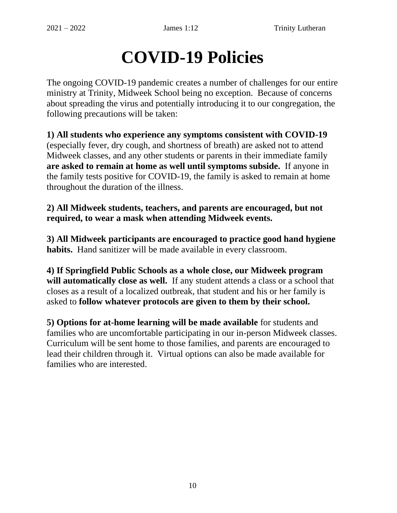### **COVID-19 Policies**

The ongoing COVID-19 pandemic creates a number of challenges for our entire ministry at Trinity, Midweek School being no exception. Because of concerns about spreading the virus and potentially introducing it to our congregation, the following precautions will be taken:

**1) All students who experience any symptoms consistent with COVID-19**  (especially fever, dry cough, and shortness of breath) are asked not to attend Midweek classes, and any other students or parents in their immediate family **are asked to remain at home as well until symptoms subside.** If anyone in the family tests positive for COVID-19, the family is asked to remain at home throughout the duration of the illness.

**2) All Midweek students, teachers, and parents are encouraged, but not required, to wear a mask when attending Midweek events.**

**3) All Midweek participants are encouraged to practice good hand hygiene habits.** Hand sanitizer will be made available in every classroom.

**4) If Springfield Public Schools as a whole close, our Midweek program will automatically close as well.** If any student attends a class or a school that closes as a result of a localized outbreak, that student and his or her family is asked to **follow whatever protocols are given to them by their school.**

**5) Options for at-home learning will be made available** for students and families who are uncomfortable participating in our in-person Midweek classes. Curriculum will be sent home to those families, and parents are encouraged to lead their children through it. Virtual options can also be made available for families who are interested.